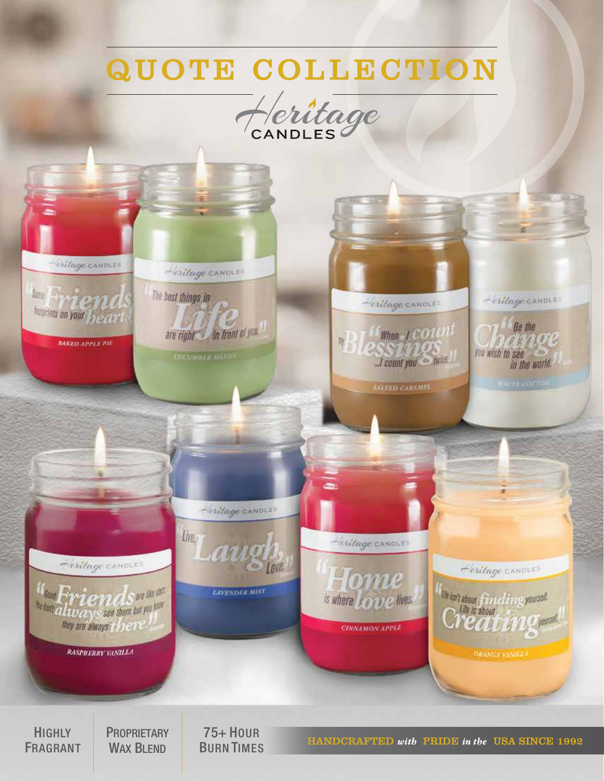## QUOTE COLLECTION





**HIGHLY** FRAGRANT **PROPRIETARY** WAX BLEND

75+ HOUR BURN TIMES

HANDCRAFTED *with* PRIDE *in the* USA SINCE 1992